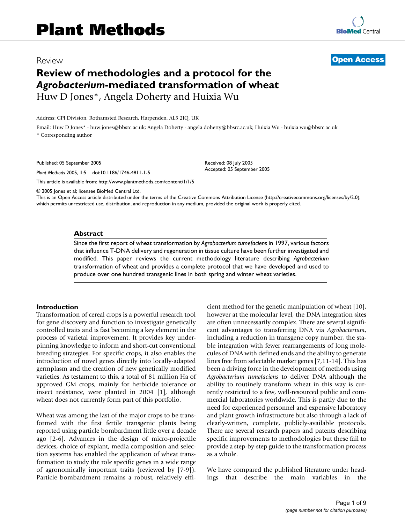# Review **[Open Access](http://www.biomedcentral.com/info/about/charter/)**

# **Review of methodologies and a protocol for the**  *Agrobacterium***-mediated transformation of wheat** Huw D Jones\*, Angela Doherty and Huixia Wu

Address: CPI Division, Rothamsted Research, Harpenden, AL5 2JQ, UK

Email: Huw D Jones\* - huw.jones@bbsrc.ac.uk; Angela Doherty - angela.doherty@bbsrc.ac.uk; Huixia Wu - huixia.wu@bbsrc.ac.uk \* Corresponding author

Published: 05 September 2005

*Plant Methods* 2005, **1**:5 doi:10.1186/1746-4811-1-5

[This article is available from: http://www.plantmethods.com/content/1/1/5](http://www.plantmethods.com/content/1/1/5)

© 2005 Jones et al; licensee BioMed Central Ltd.

This is an Open Access article distributed under the terms of the Creative Commons Attribution License [\(http://creativecommons.org/licenses/by/2.0\)](http://creativecommons.org/licenses/by/2.0), which permits unrestricted use, distribution, and reproduction in any medium, provided the original work is properly cited.

Received: 08 July 2005 Accepted: 05 September 2005

#### **Abstract**

Since the first report of wheat transformation by *Agrobacterium tumefaciens* in 1997, various factors that influence T-DNA delivery and regeneration in tissue culture have been further investigated and modified. This paper reviews the current methodology literature describing *Agrobacterium* transformation of wheat and provides a complete protocol that we have developed and used to produce over one hundred transgenic lines in both spring and winter wheat varieties.

#### **Introduction**

Transformation of cereal crops is a powerful research tool for gene discovery and function to investigate genetically controlled traits and is fast becoming a key element in the process of varietal improvement. It provides key underpinning knowledge to inform and short-cut conventional breeding strategies. For specific crops, it also enables the introduction of novel genes directly into locally-adapted germplasm and the creation of new genetically modified varieties. As testament to this, a total of 81 million Ha of approved GM crops, mainly for herbicide tolerance or insect resistance, were planted in 2004 [1], although wheat does not currently form part of this portfolio.

Wheat was among the last of the major crops to be transformed with the first fertile transgenic plants being reported using particle bombardment little over a decade ago [2-6]. Advances in the design of micro-projectile devices, choice of explant, media composition and selection systems has enabled the application of wheat transformation to study the role specific genes in a wide range of agronomically important traits (reviewed by [7-9]). Particle bombardment remains a robust, relatively efficient method for the genetic manipulation of wheat [10], however at the molecular level, the DNA integration sites are often unnecessarily complex. There are several significant advantages to transferring DNA via *Agrobacterium*, including a reduction in transgene copy number, the stable integration with fewer rearrangements of long molecules of DNA with defined ends and the ability to generate lines free from selectable marker genes [7,11-14]. This has been a driving force in the development of methods using *Agrobacterium tumefaciens* to deliver DNA although the ability to routinely transform wheat in this way is currently restricted to a few, well-resourced public and commercial laboratories worldwide. This is partly due to the need for experienced personnel and expensive laboratory and plant growth infrastructure but also through a lack of clearly-written, complete, publicly-available protocols. There are several research papers and patents describing specific improvements to methodologies but these fail to provide a step-by-step guide to the transformation process as a whole.

We have compared the published literature under headings that describe the main variables in the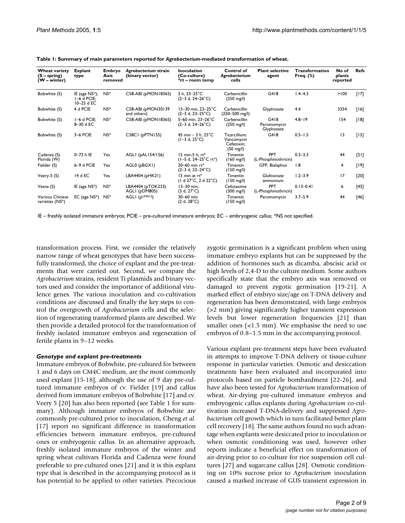| Wheat variety<br>$(S - spring)$<br>$(W - winter)$ | <b>Explant</b><br>type                           | Embryo<br>Axis<br>removed | Agrobacterium strain<br>(binary vector) | Inoculation<br>(Co-culture)<br>*rt – room temp            | Control of<br>Agrobacterium<br>cells                             | <b>Plant selective</b><br>agent    | <b>Transformation</b><br>Freq. (%) | No of<br>plants<br>reported | <b>Refs</b> |
|---------------------------------------------------|--------------------------------------------------|---------------------------|-----------------------------------------|-----------------------------------------------------------|------------------------------------------------------------------|------------------------------------|------------------------------------|-----------------------------|-------------|
| Bobwhite (S)                                      | IE (age $NS^*$ );<br>$I-6$ d PCIE;<br>10-25 d EC | $NS^*$                    | C58-ABI (pMON18365)                     | 3 h. $23 - 25^{\circ}$ C<br>$(2-3 d, 24-26^{\circ}C)$     | Carbenicillin<br>$(250 \text{ mg/l})$                            | G418                               | $1.4 - 4.3$                        | >100                        | [17]        |
| Bobwhite (S)                                      | 4 d PCIE                                         | $NS^*$                    | C58-ABI (pMON30139<br>and others)       | $15 - 30$ min, $23 - 25$ °C<br>$(2-3 d, 23-25^{\circ}C)$  | Carbenicillin<br>(250-500 mg/l)                                  | Glyphosate                         | 4.4                                | 3354                        | [16]        |
| Bobwhite (S)                                      | I-6 d PCIE;<br>8-30 d EC                         | $NS^*$                    | C58-ABI (pMON18365)                     | 5-60 min, 23-26°C<br>$(2-3 d, 24-26^{\circ}C)$            | Carbenicillin<br>$(250 \text{ mg/l})$                            | G418<br>Paromomycin<br>Glyphosate  | $4.8 - 19$                         | 154                         | $[18]$      |
| Bobwhite (S)                                      | 3-6 PCIE                                         | $NS^*$                    | C58CI (pPTN155)                         | 45 min $-$ 3 h, 25 $^{\circ}$ C<br>$(1-3 d, 25^{\circ}C)$ | Ticarcillium:<br>Vancomycin<br>Cefatoxin:<br>$(50 \text{ mg/l})$ | G418                               | $0.5 - 1.5$                        | $\overline{13}$             | $[15]$      |
| Cadenza (S)<br>Florida (W)                        | 0-72 h IE                                        | Yes                       | AGLI (pAL154/156)                       | 15 min-5 h. $rt*$<br>(1-5 d, 24-25°C rt*)                 | Timentin<br>$(160 \text{ mg/l})$                                 | <b>PPT</b><br>(L-Phosphinothricin) | $0.3 - 3.3$                        | 44                          | $[21]$      |
| Fielder (S)                                       | 6-9 d PCIE                                       | Yes                       | AGL0 (pBGX1)                            | 30-60 min $rt*$<br>$(2-3 d, 23-24°C)$                     | Timentin<br>$(150 \text{ mg/l})$                                 | GFP, Bialaphos                     | 1.8                                | 4                           | [19]        |
| Veery-5 (S)                                       | 14 d EC                                          | Yes                       | LBA4404 (pHK21)                         | 15 min at $rt^*$<br>$(1 d 27^{\circ}C, 2 d 22^{\circ}C)$  | Timentin<br>$(150 \text{ mg/l})$                                 | Glufosinate<br>ammonium            | $1.2 - 3.9$                        | 17                          | $[20]$      |
| Vesna (S)                                         | IE (age NS*)                                     | $NS^*$                    | LBA4404 (pTOK233)<br>AGLI (pDM805)      | $15-30$ min.<br>$(3 d, 27^{\circ}C)$                      | Cefotaxime<br>$(300 \text{ mg/l})$                               | <b>PPT</b><br>(L-Phosphinothricin) | $0.13 - 0.41$                      | 6                           | $[45]$      |
| Various Chinese<br>varieties (NS*)                | $EC$ (age $NS^*$ )                               | $NS^*$                    | AGLI $(p^{UNN-2})$                      | 30-60 min<br>$(2 d, 28^{\circ}C)$                         | Timentin<br>$(150 \text{ mg/l})$                                 | Paromomycin                        | $3.7 - 5.9$                        | 44                          | $[46]$      |

**Table 1: Summary of main parameters reported for** *Agrobacterium***-mediated transformation of wheat.**

IE – freshly isolated immature embryos; PCIE – pre-cultured immature embryos; EC – embryogenic callus; \*NS not specified.

transformation process. First, we consider the relatively narrow range of wheat genotypes that have been successfully transformed, the choice of explant and the pre-treatments that were carried out. Second, we compare the *Agrobacterium* strains, resident Ti plasmids and binary vectors used and consider the importance of additional virulence genes. The various inoculation and co-cultivation conditions are discussed and finally the key steps to control the overgrowth of *Agrobacterium* cells and the selection of regenerating transformed plants are described. We then provide a detailed protocol for the transformation of freshly isolated immature embryos and regeneration of fertile plants in 9–12 weeks.

#### *Genotype and explant pre-treatments*

Immature embryos of Bobwhite, pre-cultured for between 1 and 6 days on CM4C medium, are the most commonly used explant [15-18], although the use of 9 day pre-cultured immature embryos of cv. Fielder [19] and callus derived from immature embryos of Bobwhite [17] and cv. Veery 5 [\[20](#page-8-0)] has also been reported (see Table 1 for summary). Although immature embryos of Bobwhite are commonly pre-cultured prior to inoculation, Cheng *et al.* [17] report no significant difference in transformation efficiencies between immature embryos, pre-cultured ones or embryogenic callus. In an alternative approach, freshly isolated immature embryos of the winter and spring wheat cultivars Florida and Cadenza were found preferable to pre-cultured ones [\[21\]](#page-8-1) and it is this explant type that is described in the accompanying protocol as it has potential to be applied to other varieties. Precocious zygotic germination is a significant problem when using immature embryo explants but can be suppressed by the addition of hormones such as dicamba, abscisic acid or high levels of 2,4-D to the culture medium. Some authors specifically state that the embryo axis was removed or damaged to prevent zygotic germination [19[-21](#page-8-1)]. A marked effect of embryo size/age on T-DNA delivery and regeneration has been demonstrated, with large embryos (>2 mm) giving significantly higher transient expression levels but lower regeneration frequencies [\[21](#page-8-1)] than smaller ones (<1.5 mm). We emphasise the need to use embryos of 0.8–1.5 mm in the accompanying protocol.

Various explant pre-treatment steps have been evaluated in attempts to improve T-DNA delivery or tissue-culture response in particular varieties. Osmotic and desiccation treatments have been evaluated and incorporated into protocols based on particle bombardment [22[-26](#page-8-2)], and have also been tested for *Agrobacterium* transformation of wheat. Air-drying pre-cultured immature embryos and embryogenic callus explants during *Agrobacterium* co-cultivation increased T-DNA-delivery and suppressed *Agrobacterium* cell growth which in turn facilitated better plant cell recovery [18]. The same authors found no such advantage when explants were desiccated prior to inoculation or when osmotic conditioning was used, however other reports indicate a beneficial effect on transformation of air-drying prior to co-culture for rice suspension cell cultures [27] and sugarcane callus [28]. Osmotic conditioning on 10% sucrose prior to *Agrobacterium* inoculation caused a marked increase of GUS transient expression in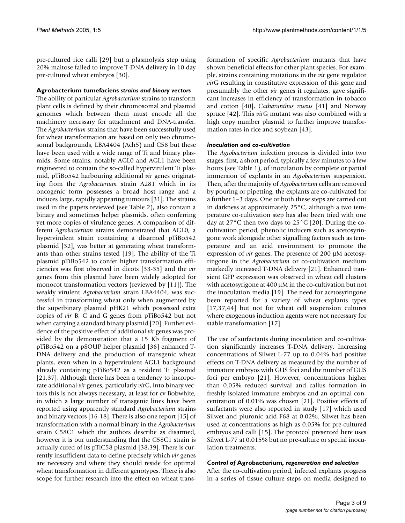pre-cultured rice calli [29] but a plasmolysis step using 20% maltose failed to improve T-DNA delivery in 10 day pre-cultured wheat embryos [30].

### **Agrobacterium tumefaciens** *strains and binary vectors*

The ability of particular *Agrobacterium* strains to transform plant cells is defined by their chromosomal and plasmid genomes which between them must encode all the machinery necessary for attachment and DNA-transfer. The *Agrobacterium* strains that have been successfully used for wheat transformation are based on only two chromosomal backgrounds, LBA4404 (Ach5) and C58 but these have been used with a wide range of Ti and binary plasmids. Some strains, notably AGL0 and AGL1 have been engineered to contain the so-called hypervirulent Ti plasmid, pTiBo542 harbouring additional *vir* genes originating from the *Agrobacterium* strain A281 which in its oncogenic form possesses a broad host range and a induces large, rapidly appearing tumours [31]. The strains used in the papers reviewed (see Table 2), also contain a binary and sometimes helper plasmids, often conferring yet more copies of virulence genes. A comparison of different *Agrobacterium* strains demonstrated that AGL0, a hypervirulent strain containing a disarmed pTiBo542 plasmid [32], was better at generating wheat transformants than other strains tested [19]. The ability of the Ti plasmid pTiBo542 to confer higher transformation efficiencies was first observed in dicots [33-35] and the *vir* genes from this plasmid have been widely adopted for monocot transformation vectors (reviewed by [11]). The weakly virulent *Agrobacterium* strain LBA4404, was successful in transforming wheat only when augmented by the superbinary plasmid pHK21 which possessed extra copies of *vir* B, C and G genes from pTiBo542 but not when carrying a standard binary plasmid [[20](#page-8-0)]. Further evidence of the positive effect of additional *vir* genes was provided by the demonstration that a 15 Kb fragment of pTiBo542 on a pSOUP helper plasmid [36] enhanced T-DNA delivery and the production of transgenic wheat plants, even when in a hypervirulent AGL1 background already containing pTiBo542 as a resident Ti plasmid [[21](#page-8-1),37]. Although there has been a tendency to incorporate additional *vir* genes, particularly *vir*G, into binary vectors this is not always necessary, at least for cv Bobwhite, in which a large number of transgenic lines have been reported using apparently standard *Agrobacterium* strains and binary vectors [16-18]. There is also one report [15] of transformation with a normal binary in the *Agrobacterium* strain C58C1 which the authors describe as disarmed, however it is our understanding that the C58C1 strain is actually cured of its pTiC58 plasmid [38,39]. There is currently insufficient data to define precisely which *vir* genes are necessary and where they should reside for optimal wheat transformation in different genotypes. There is also scope for further research into the effect on wheat transformation of specific *Agrobacterium* mutants that have shown beneficial effects for other plant species. For example, strains containing mutations in the *vir* gene regulator *vir*G resulting in constitutive expression of this gene and presumably the other *vir* genes it regulates, gave significant increases in efficiency of transformation in tobacco and cotton [40], *Catharanthus roseus* [41] and Norway spruce [42]. This *vir*G mutant was also combined with a high copy number plasmid to further improve transformation rates in rice and soybean [43].

### *Inoculation and co-cultivation*

The *Agrobacterium* infection process is divided into two stages: first, a short period, typically a few minutes to a few hours (see Table 1), of inoculation by complete or partial immersion of explants in an *Agrobacterium* suspension. Then, after the majority of *Agrobacterium* cells are removed by pouring or pipetting, the explants are co-cultivated for a further 1–3 days. One or both these steps are carried out in darkness at approximately 25°C, although a two temperature co-cultivation step has also been tried with one day at 27°C then two days to 25°C [[20\]](#page-8-0). During the cocultivation period, phenolic inducers such as acetosyringone work alongside other signalling factors such as temperature and an acid environment to promote the expression of *vir* genes. The presence of 200 µM acetosyringone in the *Agrobacterium* or co-cultivation medium markedly increased T-DNA delivery [[21\]](#page-8-1). Enhanced transient GFP expression was observed in wheat cell clusters with acetosyrigone at 400  $\mu$ M in the co-cultivation but not the inoculation media [19]. The need for acetosyringone been reported for a variety of wheat explants types [17,37,44] but not for wheat cell suspension cultures where exogenous induction agents were not necessary for stable transformation [17].

The use of surfactants during inoculation and co-cultivation significantly increases T-DNA delivery. Increasing concentrations of Silwet L-77 up to 0.04% had positive effects on T-DNA delivery as measured by the number of immature embryos with GUS foci and the number of GUS foci per embryo [[21\]](#page-8-1). However, concentrations higher than 0.05% reduced survival and callus formation in freshly isolated immature embryos and an optimal concentration of 0.01% was chosen [[21\]](#page-8-1). Positive effects of surfactants were also reported in study [17] which used Silwet and pluronic acid F68 at 0.02%. Silwet has been used at concentrations as high as 0.05% for pre-cultured embryos and calli [15]. The protocol presented here uses Silwet L-77 at 0.015% but no pre-culture or special inoculation treatments.

### *Control of* **Agrobacterium***, regeneration and selection*

After the co-cultivation period, infected explants progress in a series of tissue culture steps on media designed to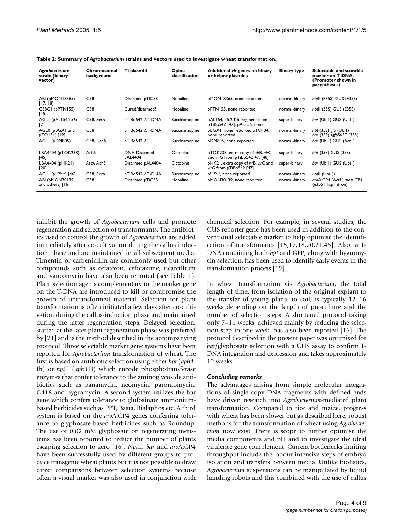| Agrobacterium<br>strain (binary<br>vector) | Chromosomal<br>background | Ti plasmid                     | Opine<br>classification | Additional vir genes on binary<br>or helper plasmids                 | <b>Binary type</b> | Selectable and scorable<br>marker on T-DNA.<br>(Promoter shown in<br>parentheses) |
|--------------------------------------------|---------------------------|--------------------------------|-------------------------|----------------------------------------------------------------------|--------------------|-----------------------------------------------------------------------------------|
| ABI (pMON18365)<br>[17, 18]                | C58                       | Disarmed pTiC58                | Nopaline                | pMON18365, none reported                                             | normal-binary      | nptll (E35S) GUS (E35S)                                                           |
| C58CI (pPTN155)<br>$[15]$                  | C58                       | Cured/disarmed?                | Nopaline                | pPTN155, none reported                                               | normal-binary      | <i>nbtll</i> (35S) GUS (E35S)                                                     |
| AGLI (pALI54/156)<br>$[21]$                | C58. RecA                 | pTiBo542 AT-DNA                | Succinamopine           | pAL154, 15.2 Kb fragment from<br>pTiBo542 [47], pAL156, none         | super-binary       | bar (Ubil) GUS (Ubil)                                                             |
| AGL0 (pBGX1 and<br>pTO134) [19]            | C58                       | pTiBo542 ∆T-DNA                | Succinamopine           | pBGX1, none reported pTO134,<br>none reported                        | normal-binary      | hpt $(35S)$ gfp $(Ubi1)$<br>bar (35S) sgfpS65T (35S)                              |
| AGLI (pDM805)                              | C58, RecA                 | pTiBo542 ∆T                    | Succinamopine           | pDM805, none reported                                                | normal-binary      | bar (Ubil) GUS (Actl)                                                             |
| LBA4404 (pTOK233)<br>[45]                  | Ach <sub>5</sub>          | <b>DNA Disarmed</b><br>pAL4404 | Octopine                | pTOK233, extra copy of virB, virC<br>and virG from pTiBo542 47, [48] | super-binary       | hpt (35S) GUS (35S)                                                               |
| LBA4404 (pHK21)<br>[20]                    | RecA Ach <sub>5</sub>     | Disarmed pAL4404               | Octopine                | pHK21, extra copy of virB, virC and<br>virG from pTiBo542 [47]       | super-binary       | bar (Ubil) GUS (Ubil)                                                             |
| AGLI ( $p^{UNN-2}$ ) [46]                  | C58, RecA                 | pTiBo542 AT-DNA                | Succinamopine           | pUNN-2, none reported                                                | normal-binary      | nptll (Ubil))                                                                     |
| ABI (pMON30139<br>and others) [16]         | C58                       | Disarmed pTiC58                | Nopaline                | pMON30139, none reported                                             | normal-binary      | aroA:CP4 (Act1) aroA:CP4<br>(e35S+ hsp intron)                                    |

**Table 2: Summary of** *Agrobacterium* **strains and vectors used to investigate wheat transformation.**

inhibit the growth of *Agrobacterium* cells and promote regeneration and selection of transformants. The antibiotics used to control the growth of *Agrobacterium* are added immediately after co-cultivation during the callus induction phase and are maintained in all subsequent media. Timentin or carbenicillin are commonly used but other compounds such as cefatoxin, cefotaxime, ticarcillium and vancomycin have also been reported (see Table 1). Plant selection agents complementary to the marker gene on the T-DNA are introduced to kill or compromise the growth of untransformed material. Selection for plant transformation is often initiated a few days after co-cultivation during the callus-induction phase and maintained during the latter regeneration steps. Delayed selection, started at the later plant regeneration phase was preferred by [\[21\]](#page-8-1) and is the method described in the accompanying protocol. Three selectable marker gene systems have been reported for *Agrobacterium* transformation of wheat. The first is based on antibiotic selection using either *hpt* (*aph4*- Ib) or *npt*II (*aph3*'II) which encode phosphotransferase enzymes that confer tolerance to the aminoglycoside antibiotics such as kanamycin, neomycin, paromomycin, G418 and hygromycin. A second system utilizes the bar gene which confers tolerance to glufosinate ammoniumbased herbicides such as PPT, Basta, Bialaphos etc. A third system is based on the *aro*A:CP4 genes conferring tolerance to glyphosate-based herbicides such as Roundup. The use of 0.02 mM glyphosate on regenerating meristems has been reported to reduce the number of plants escaping selection to zero [16]. *Npt*II, *bar* and *aro*A:CP4 have been successfully used by different groups to produce transgenic wheat plants but it is not possible to draw direct comparisons between selection systems because often a visual marker was also used in conjunction with chemical selection. For example, in several studies, the GUS reporter gene has been used in addition to the conventional selectable marker to help optimise the identification of transformants [15,17,18[,20](#page-8-0),[21,](#page-8-1)45]. Also, a T-DNA containing both *hpt* and GFP, along with hygromycin selection, has been used to identify early events in the transformation process [19].

In wheat transformation via *Agrobacterium*, the total length of time, from isolation of the original explant to the transfer of young plants to soil, is typically 12–16 weeks depending on the length of pre-culture and the number of selection steps. A shortened protocol taking only 7–11 weeks, achieved mainly by reducing the selection step to one week, has also been reported [16]. The protocol described in the present paper was optimised for *bar*/glyphosate selection with a GUS assay to confirm T-DNA integration and expression and takes approximately 12 weeks.

#### *Concluding remarks*

The advantages arising from simple molecular integrations of single copy DNA fragments with defined ends have driven research into *Agrobacterium*-mediated plant transformation. Compared to rice and maize, progress with wheat has been slower but as described here, robust methods for the transformation of wheat using *Agrobacterium* now exist. There is scope to further optimise the media components and pH and to investigate the ideal virulence gene complement. Current bottlenecks limiting throughput include the labour-intensive steps of embryo isolation and transfers between media. Unlike biolistics, *Agrobacterium* suspensions can be manipulated by liquid handing robots and this combined with the use of callus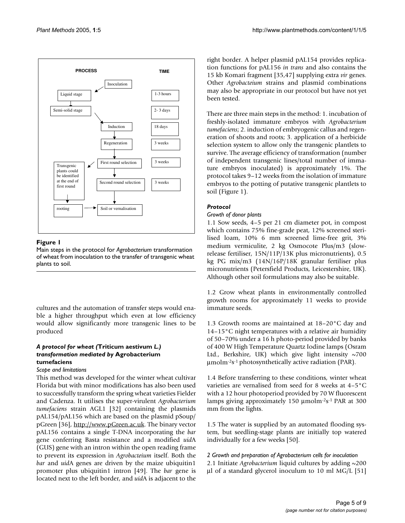

# Figure 1

Main steps in the protocol for *Agrobacterium* transformation of wheat from inoculation to the transfer of transgenic wheat plants to soil.

cultures and the automation of transfer steps would enable a higher throughput which even at low efficiency would allow significantly more transgenic lines to be produced

### *A protocol for wheat (***Triticum aestivum** *L.) transformation mediated by* **Agrobacterium tumefaciens**

### *Scope and limitations*

This method was developed for the winter wheat cultivar Florida but with minor modifications has also been used to successfully transform the spring wheat varieties Fielder and Cadenza. It utilises the super-virulent *Agrobacterium tumefaciens* strain AGL1 [32] containing the plasmids pAL154/pAL156 which are based on the plasmid pSoup/ pGreen [36],<http://www.pGreen.ac.uk>. The binary vector pAL156 contains a single T-DNA incorporating the *bar* gene conferring Basta resistance and a modified *uid*A (GUS) gene with an intron within the open reading frame to prevent its expression in *Agrobacteium* itself. Both the *bar* and *uid*A genes are driven by the maize ubiquitin1 promoter plus ubiquitin1 intron [49]. The *bar* gene is located next to the left border, and *uid*A is adjacent to the right border. A helper plasmid pAL154 provides replication functions for pAL156 *in trans* and also contains the 15 kb Komari fragment [35,47] supplying extra *vir* genes. Other *Agrobacteium* strains and plasmid combinations may also be appropriate in our protocol but have not yet been tested.

There are three main steps in the method: 1. incubation of freshly-isolated immature embryos with *Agrobacterium tumefaciens*; 2. induction of embryogenic callus and regeneration of shoots and roots; 3. application of a herbicide selection system to allow only the transgenic plantlets to survive. The average efficiency of transformation (number of independent transgenic lines/total number of immature embryos inoculated) is approximately 1%. The protocol takes 9–12 weeks from the isolation of immature embryos to the potting of putative transgenic plantlets to soil (Figure 1).

# *Protocol*

#### *Growth of donor plants*

1.1 Sow seeds, 4–5 per 21 cm diameter pot, in compost which contains 75% fine-grade peat, 12% screened sterilised loam, 10% 6 mm screened lime-free grit, 3% medium vermiculite, 2 kg Osmocote Plus/m3 (slowrelease fertiliser, 15N/11P/13K plus micronutrients), 0.5 kg PG mix/m3 (14N/16P/18K granular fertiliser plus micronutrients (Petersfield Products, Leicestershire, UK). Although other soil formulations may also be suitable.

1.2 Grow wheat plants in environmentally controlled growth rooms for approximately 11 weeks to provide immature seeds.

1.3 Growth rooms are maintained at 18–20°C day and 14–15°C night temperatures with a relative air humidity of 50–70% under a 16 h photo-period provided by banks of 400 W High Temperature Quartz Iodine lamps (Osram Ltd., Berkshire, UK) which give light intensity  $\sim$ 700 µmolm-2s-1 photosynthetically active radiation (PAR).

1.4 Before transferring to these conditions, winter wheat varieties are vernalised from seed for 8 weeks at 4–5°C with a 12 hour photoperiod provided by 70 W fluorescent lamps giving approximately 150 µmolm-2s-1 PAR at 300 mm from the lights.

1.5 The water is supplied by an automated flooding system, but seedling-stage plants are initially top watered individually for a few weeks [50].

*2 Growth and preparation of Agrobacterium cells for inoculation* 2.1 Initiate *Agrobacterium* liquid cultures by adding ~200 µl of a standard glycerol inoculum to 10 ml MG/L [51]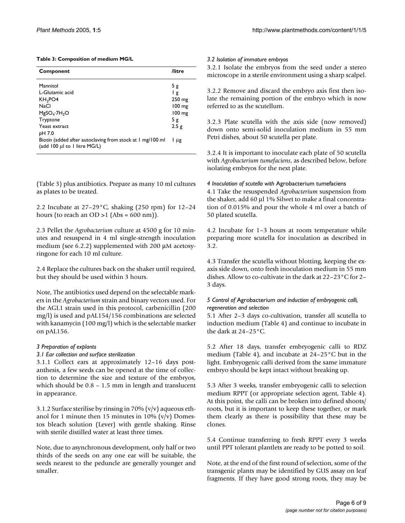#### **Table 3: Composition of medium MG/L**

| Component                                                                                 | /litre                       |
|-------------------------------------------------------------------------------------------|------------------------------|
| Mannitol<br>L-Glutamic acid                                                               | 5g<br>Ιg                     |
| KH <sub>2</sub> PO <sub>4</sub>                                                           | 250 mg                       |
| NaCl<br>$MgSO_4$ -7H <sub>2</sub> O                                                       | $100 \text{ mg}$<br>$100$ mg |
| Tryptone                                                                                  | 5g                           |
| Yeast extract<br>pH 7.0                                                                   | 2.5g                         |
| Biotin (added after autoclaving from stock at 1 mg/100 ml<br>(add 100 µl to 1 litre MG/L) | l µg                         |

(Table 3) plus antibiotics. Prepare as many 10 ml cultures as plates to be treated.

2.2 Incubate at  $27-29$ °C, shaking (250 rpm) for  $12-24$ hours (to reach an  $OD >1$  (Abs = 600 nm)).

2.3 Pellet the *Agrobacterium* culture at 4500 g for 10 minutes and resuspend in 4 ml single-strength inoculation medium (see 6.2.2) supplemented with 200 µM acetosyringone for each 10 ml culture.

2.4 Replace the cultures back on the shaker until required, but they should be used within 3 hours.

Note, The antibiotics used depend on the selectable markers in the *Agrobacterium* strain and binary vectors used. For the AGL1 strain used in this protocol, carbenicillin (200 mg/l) is used and pAL154/156 combinations are selected with kanamycin (100 mg/l) which is the selectable marker on pAL156.

### *3 Preparation of explants*

#### *3.1 Ear collection and surface sterilization*

3.1.1 Collect ears at approximately 12–16 days postanthesis, a few seeds can be opened at the time of collection to determine the size and texture of the embryos, which should be 0.8 – 1.5 mm in length and translucent in appearance.

3.1.2 Surface sterilise by rinsing in 70% (v/v) aqueous ethanol for 1 minute then 15 minutes in 10%  $(v/v)$  Domestos bleach solution (Lever) with gentle shaking. Rinse with sterile distilled water at least three times.

Note, due to asynchronous development, only half or two thirds of the seeds on any one ear will be suitable, the seeds nearest to the peduncle are generally younger and smaller.

#### *3.2 Isolation of immature embryos*

3.2.1 Isolate the embryos from the seed under a stereo microscope in a sterile environment using a sharp scalpel.

3.2.2 Remove and discard the embryo axis first then isolate the remaining portion of the embryo which is now referred to as the scutellum.

3.2.3 Plate scutella with the axis side (now removed) down onto semi-solid inoculation medium in 55 mm Petri dishes, about 50 scutella per plate.

3.2.4 It is important to inoculate each plate of 50 scutella with *Agrobacterium tumefaciens*, as described below, before isolating embryos for the next plate.

#### *4 Inoculation of scutella with* Agrobacterium tumefaciens

4.1 Take the resuspended *Agrobacterium* suspension from the shaker, add 60 µl 1% Silwet to make a final concentration of 0.015% and pour the whole 4 ml over a batch of 50 plated scutella.

4.2 Incubate for 1–3 hours at room temperature while preparing more scutella for inoculation as described in 3.2.

4.3 Transfer the scutella without blotting, keeping the exaxis side down, onto fresh inoculation medium in 55 mm dishes. Allow to co-cultivate in the dark at 22–23°C for 2– 3 days.

#### *5 Control of* Agrobacterium *and induction of embryogenic calli, regeneration and selection*

5.1 After 2–3 days co-cultivation, transfer all scutella to induction medium (Table 4) and continue to incubate in the dark at 24–25°C.

5.2 After 18 days, transfer embryogenic calli to RDZ medium (Table 4), and incubate at 24–25°C but in the light. Embryogenic calli derived from the same immature embryo should be kept intact without breaking up.

5.3 After 3 weeks, transfer embryogenic calli to selection medium RPPT (or appropriate selection agent, Table 4). At this point, the calli can be broken into defined shoots/ roots, but it is important to keep these together, or mark them clearly as there is possibility that these may be clones.

5.4 Continue transferring to fresh RPPT every 3 weeks until PPT tolerant plantlets are ready to be potted to soil.

Note, at the end of the first round of selection, some of the transgenic plants may be identified by GUS assay on leaf fragments. If they have good strong roots, they may be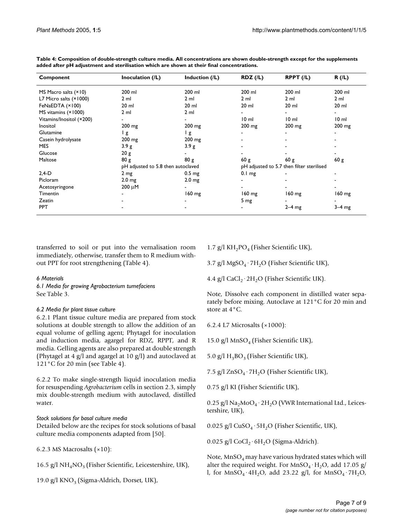| Component                | Inoculation (/L)                   | Induction (/L)    | RDZ(IL)           | $R$ PPT $(1)$                             | R(IL)           |
|--------------------------|------------------------------------|-------------------|-------------------|-------------------------------------------|-----------------|
| MS Macro salts $(×10)$   | 200 ml                             | 200 ml            | 200 ml            | 200 ml                                    | 200 ml          |
| L7 Micro salts (×1000)   | $2 \text{ ml}$                     | 2 <sub>m</sub>    | 2 <sub>m</sub>    | 2 <sub>m</sub>                            | $2 \text{ ml}$  |
| FeNaEDTA (×100)          | $20$ ml                            | $20$ ml           | $20$ ml           | $20$ ml                                   | $20$ ml         |
| MS vitamins (×1000)      | $2 \mathrm{ml}$                    | 2 <sub>m</sub>    |                   | -                                         |                 |
| Vitamins/Inositol (×200) |                                    |                   | 10 <sub>m1</sub>  | 10 <sub>m</sub>                           | 10 <sub>m</sub> |
| Inositol                 | $200$ mg                           | $200 \text{ mg}$  | $200$ mg          | 200 mg                                    | 200 mg          |
| Glutamine                | Ιg                                 | l g               |                   |                                           |                 |
| Casein hydrolysate       | $200$ mg                           | $200 \text{ mg}$  |                   |                                           |                 |
| MES                      | 3.9g                               | 3.9 g             |                   |                                           |                 |
| Glucose                  | 20 g                               |                   |                   |                                           |                 |
| Maltose                  | 80 g                               | 80 g              | 60g               | 60 g                                      | 60 g            |
|                          | pH adjusted to 5.8 then autoclaved |                   |                   | pH adjusted to 5.7 then filter sterilised |                 |
| $2,4-D$                  | 2 <sub>mg</sub>                    | 0.5 <sub>mg</sub> | 0.1 <sub>mg</sub> |                                           |                 |
| Picloram                 | 2.0 <sub>mg</sub>                  | 2.0 <sub>mg</sub> |                   |                                           |                 |
| Acetosyringone           | $200 \mu M$                        |                   |                   |                                           |                 |
| <b>Timentin</b>          | ٠                                  | 160 mg            | $160 \text{ mg}$  | $160 \text{ mg}$                          | 160 mg          |
| Zeatin                   |                                    |                   | $5 \, \text{mg}$  |                                           |                 |
| <b>PPT</b>               |                                    |                   |                   | $2-4$ mg                                  | $3-4$ mg        |

**Table 4: Composition of double-strength culture media. All concentrations are shown double-strength except for the supplements added after pH adjustment and sterilisation which are shown at their final concentrations.**

transferred to soil or put into the vernalisation room immediately, otherwise, transfer them to R medium without PPT for root strengthening (Table 4).

### *6 Materials*

*6.1 Media for growing Agrobacterium tumefaciens* See Table 3.

# *6.2 Media for plant tissue culture*

6.2.1 Plant tissue culture media are prepared from stock solutions at double strength to allow the addition of an equal volume of gelling agent; Phytagel for inoculation and induction media, agargel for RDZ, RPPT, and R media. Gelling agents are also prepared at double strength (Phytagel at 4 g/l and agargel at 10 g/l) and autoclaved at 121°C for 20 min (see Table 4).

6.2.2 To make single-strength liquid inoculation media for resuspending *Agrobacterium* cells in section 2.3, simply mix double-strength medium with autoclaved, distilled water.

# *Stock solutions for basal culture media*

Detailed below are the recipes for stock solutions of basal culture media components adapted from [50].

6.2.3 MS Macrosalts  $(x10)$ :

16.5 g/l  $NH<sub>4</sub>NO<sub>3</sub>$  (Fisher Scientific, Leicestershire, UK),

19.0 g/l  $KNO<sub>3</sub>$  (Sigma-Aldrich, Dorset, UK),

1.7 g/l KH<sub>2</sub>PO<sub>4</sub> (Fisher Scientific UK),

3.7 g/l MgSO<sub>4</sub> · 7H<sub>2</sub>O (Fisher Scientific UK),

4.4 g/l CaCl<sub>2</sub>·2H<sub>2</sub>O (Fisher Scientific UK).

Note, Dissolve each component in distilled water separately before mixing. Autoclave at 121°C for 20 min and store at 4°C.

6.2.4 L7 Microsalts (×1000):

15.0 g/l MnSO<sub>4</sub> (Fisher Scientific UK),

5.0 g/l  $H_3BO_3$  (Fisher Scientific UK),

7.5 g/l  $ZnSO_4 \cdot 7H_2O$  (Fisher Scientific UK),

0.75 g/l KI (Fisher Scientific UK),

0.25 g/l  $\text{Na}_2\text{MoO}_4 \cdot 2\text{H}_2\text{O}$  (VWR International Ltd., Leicestershire, UK),

0.025 g/l  $CuSO_4 \cdot 5H_2O$  (Fisher Scientific, UK),

0.025 g/l CoCl<sub>2</sub>·6H<sub>2</sub>O (Sigma-Aldrich).

Note,  $MnSO<sub>4</sub>$  may have various hydrated states which will alter the required weight. For  $MnSO_4 \cdot H_2O$ , add 17.05 g/ l, for  $MnSO_4 \cdot 4H_2O$ , add 23.22 g/l, for  $MnSO_4 \cdot 7H_2O$ ,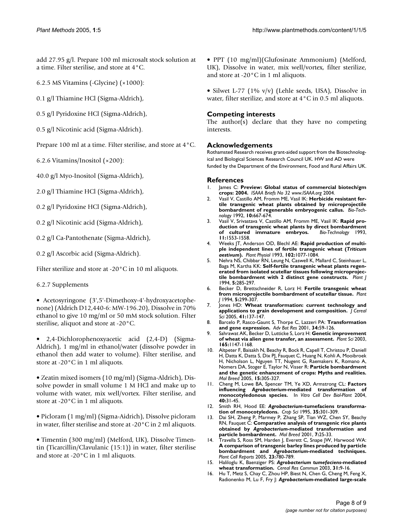add 27.95 g/l. Prepare 100 ml microsalt stock solution at a time. Filter sterilise, and store at 4°C.

6.2.5 MS Vitamins (-Glycine) (×1000):

0.1 g/l Thiamine HCl (Sigma-Aldrich),

0.5 g/l Pyridoxine HCl (Sigma-Aldrich),

0.5 g/l Nicotinic acid (Sigma-Aldrich).

Prepare 100 ml at a time. Filter sterilise, and store at 4°C.

6.2.6 Vitamins/Inositol (×200):

40.0 g/l Myo-Inositol (Sigma-Aldrich),

2.0 g/l Thiamine HCl (Sigma-Aldrich),

0.2 g/l Pyridoxine HCl (Sigma-Aldrich),

0.2 g/l Nicotinic acid (Sigma-Aldrich),

0.2 g/l Ca-Pantothenate (Sigma-Aldrich),

0.2 g/l Ascorbic acid (Sigma-Aldrich).

Filter sterilize and store at -20°C in 10 ml aliquots.

6.2.7 Supplements

• Acetosyringone (3',5'-Dimethoxy-4'-hydroxyacetophenone) (Aldrich D12,440-6: MW-196.20), Dissolve in 70% ethanol to give 10 mg/ml or 50 mM stock solution. Filter sterilise, aliquot and store at -20°C.

• 2,4-Dichlorophenoxyacetic acid (2,4-D) (Sigma-Aldrich), 1 mg/ml in ethanol/water (dissolve powder in ethanol then add water to volume). Filter sterilise, and store at -20°C in 1 ml aliquots.

• Zeatin mixed isomers (10 mg/ml) (Sigma-Aldrich), Dissolve powder in small volume 1 M HCl and make up to volume with water, mix well/vortex. Filter sterilise, and store at -20°C in 1 ml aliquots.

• Picloram (1 mg/ml) (Sigma-Aidrich), Dissolve picloram in water, filter sterilise and store at -20°C in 2 ml aliquots.

• Timentin (300 mg/ml) (Melford, UK), Dissolve Timentin (Ticarcillin/Clavulanic (15:1)) in water, filter sterilise and store at -20°C in 1 ml aliquots.

• PPT (10 mg/ml)(Glufosinate Ammonium) (Melford, UK), Dissolve in water, mix well/vortex, filter sterilize, and store at -20°C in 1 ml aliquots.

• Silwet L-77 (1% v/v) (Lehle seeds, USA), Dissolve in water, filter sterilize, and store at 4°C in 0.5 ml aliquots.

# **Competing interests**

The author(s) declare that they have no competing interests.

# **Acknowledgements**

Rothamsted Research receives grant-aided support from the Biotechnological and Biological Sciences Research Council UK. HW and AD were funded by the Department of the Environment, Food and Rural Affairs UK.

#### **References**

- James C: Preview: Global status of commercial biotech/gm **crops: 2004.** *ISAAA Briefs No 32 www.ISAAA.org* 2004.
- 2. Vasil V, Castillo AM, Fromm ME, Vasil IK: **Herbicide resistant fertile transgenic wheat plants obtained by microprojectile bombardment of regenerable embryogenic callus.** *Bio-Technology* 1992, **10:**667-674.
- 3. Vasil V, Srivastava V, Castillo AM, Fromm ME, Vasil IK: **Rapid production of transgenic wheat plants by direct bombardment of cultured immature embryos.** *Bio-Technology* 1993, **11:**1553-1558.
- 4. Weeks JT, Anderson OD, Blechl AE: **Rapid production of multiple independent lines of fertile transgenic wheat (***Triticum aestivum***[\).](http://www.ncbi.nlm.nih.gov/entrez/query.fcgi?cmd=Retrieve&db=PubMed&dopt=Abstract&list_uids=12231889)** *Plant Physiol* 1993, **102:**1077-1084.
- 5. Nehra NS, Chibbar RN, Leung N, Caswell K, Mallard C, Steinhauer L, Baga M, Kartha KK: **Self-fertile transgenic wheat plants regenerated from isolated scutellar tissues following microprojectile bombardment with 2 distinct gene constructs.** *Plant J* 1994, **5:**285-297.
- 6. Becker D, Brettschneider R, Lorz H: **[Fertile transgenic wheat](http://www.ncbi.nlm.nih.gov/entrez/query.fcgi?cmd=Retrieve&db=PubMed&dopt=Abstract&list_uids=8148881) [from microprojectile bombardment of scutellar tissue.](http://www.ncbi.nlm.nih.gov/entrez/query.fcgi?cmd=Retrieve&db=PubMed&dopt=Abstract&list_uids=8148881)** *Plant J* 1994, **5:**299-307.
- 7. Jones HD: **Wheat transformation: current technology and applications to grain development and composition.** *J Cereal Sci* 2005, **41:**137-147.
- 8. Barcelo P, Rasco-Gaunt S, Thorpe C, Lazzeri PA: **Transformation and gene expression.** *Adv Bot Res* 2001, **34:**59-126.
- 9. Sahrawat AK, Becker D, Lutticke S, Lorz H: **Genetic improvement of wheat via alien gene transfer, an assessment.** *Plant Sci* 2003, **165:**1147-1168.
- 10. Altpeter F, Baisakh N, Beachy R, Bock R, Capell T, Christou P, Daniell H, Datta K, Datta S, Dix PJ, Fauquet C, Huang N, Kohli A, Mooibroek H, Nicholson L, Nguyen TT, Nugent G, Raemakers K, Romano A, Nomers DA, Stoger E, Taylor N, Visser R: **Particle bombardment and the genetic enhancement of crops: Myths and realities.** *Mol Breed* 2005, **15:**305-327.
- 11. Cheng M, Lowe BA, Spencer TM, Ye XD, Armstrong CL: **Factors influencing** *Agrobacterium***-mediated transformation of monocotyledonous species.** In *Vitro Cell Dev Biol-Plant* 2004, **40:**31-45.
- 12. Smith RH, Hood EE: *Agrobacterium***-tumefaciens transformation of monocotyledons.** *Crop Sci* 1995, **35:**301-309.
- 13. Dai SH, Zheng P, Marmey P, Zhang SP, Tian WZ, Chen SY, Beachy RN, Fauquet C: **Comparative analysis of transgenic rice plants obtained by** *Agrobacterium***-mediated transformation and particle bombardment.** *Mol Breed* 2001, **7:**25-33.
- 14. Travella S, Ross SM, Harden J, Everett C, Snape JW, Harwood WA: **A comparison of transgenic barley lines produced by particle bombardment and** *Agrobacterium***[-mediated techniques.](http://www.ncbi.nlm.nih.gov/entrez/query.fcgi?cmd=Retrieve&db=PubMed&dopt=Abstract&list_uids=15761662)** *Plant Cell Reports* 2005, **23:**780-789.
- 15. Haliloglu K, Baenziger PS: *Agrobacterium tumefaciens***-mediated wheat transformation.** *Cereal Res Commun* 2003, **31:**9-16.
- 16. Hu T, Metz S, Chay C, Zhou HP, Biest N, Chen G, Cheng M, Feng X, Radionenko M, Lu F, Fry J: *Agrobacterium***-mediated large-scale**